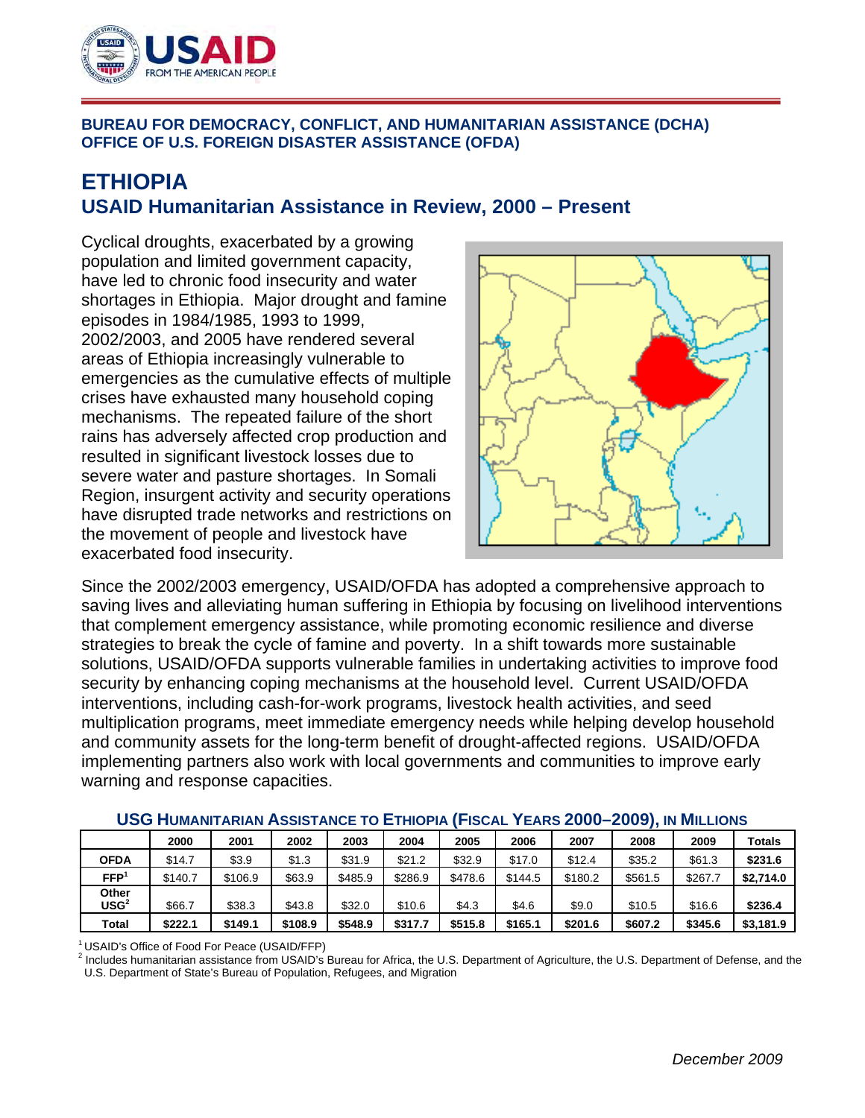

## **BUREAU FOR DEMOCRACY, CONFLICT, AND HUMANITARIAN ASSISTANCE (DCHA) OFFICE OF U.S. FOREIGN DISASTER ASSISTANCE (OFDA)**

## **ETHIOPIA USAID Humanitarian Assistance in Review, 2000 – Present**

Cyclical droughts, exacerbated by a growing population and limited government capacity, have led to chronic food insecurity and water shortages in Ethiopia. Major drought and famine episodes in 1984/1985, 1993 to 1999, 2002/2003, and 2005 have rendered several areas of Ethiopia increasingly vulnerable to emergencies as the cumulative effects of multiple crises have exhausted many household coping mechanisms. The repeated failure of the short rains has adversely affected crop production and resulted in significant livestock losses due to severe water and pasture shortages. In Somali Region, insurgent activity and security operations have disrupted trade networks and restrictions on the movement of people and livestock have exacerbated food insecurity.



Since the 2002/2003 emergency, USAID/OFDA has adopted a comprehensive approach to saving lives and alleviating human suffering in Ethiopia by focusing on livelihood interventions that complement emergency assistance, while promoting economic resilience and diverse strategies to break the cycle of famine and poverty. In a shift towards more sustainable solutions, USAID/OFDA supports vulnerable families in undertaking activities to improve food security by enhancing coping mechanisms at the household level. Current USAID/OFDA interventions, including cash-for-work programs, livestock health activities, and seed multiplication programs, meet immediate emergency needs while helping develop household and community assets for the long-term benefit of drought-affected regions. USAID/OFDA implementing partners also work with local governments and communities to improve early warning and response capacities.

|                           | 2000    | 2001    | 2002    | 2003    | 2004    | 2005    | 2006    | 2007    | 2008    | 2009    | Totals    |
|---------------------------|---------|---------|---------|---------|---------|---------|---------|---------|---------|---------|-----------|
| <b>OFDA</b>               | \$14.7  | \$3.9   | \$1.3   | \$31.9  | \$21.2  | \$32.9  | \$17.0  | \$12.4  | \$35.2  | \$61.3  | \$231.6   |
| FFP <sup>1</sup>          | \$140.7 | \$106.9 | \$63.9  | \$485.9 | \$286.9 | \$478.6 | \$144.5 | \$180.2 | \$561.5 | \$267.7 | \$2,714.0 |
| Other<br>USG <sup>2</sup> | \$66.7  | \$38.3  | \$43.8  | \$32.0  | \$10.6  | \$4.3   | \$4.6   | \$9.0   | \$10.5  | \$16.6  | \$236.4   |
| Total                     | \$222.1 | \$149.1 | \$108.9 | \$548.9 | \$317.7 | \$515.8 | \$165.1 | \$201.6 | \$607.2 | \$345.6 | \$3,181.9 |

## **USG HUMANITARIAN ASSISTANCE TO ETHIOPIA (FISCAL YEARS 2000–2009), IN MILLIONS**

 $10$  USAID's Office of Food For Peace (USAID/FFP)<br><sup>2</sup> Includes humanitarian assistance from USAID's Bureau for Africa, the U.S. Department of Agriculture, the U.S. Department of Defense, and the U.S. Department of State's Bureau of Population, Refugees, and Migration